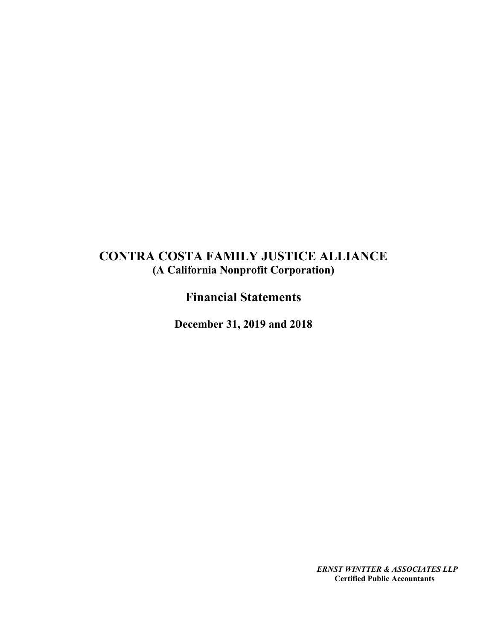# CONTRA COSTA FAMILY JUSTICE ALLIANCE (A California Nonprofit Corporation)

Financial Statements

December 31, 2019 and 2018

ERNST WINTTER & ASSOCIATES LLP Certified Public Accountants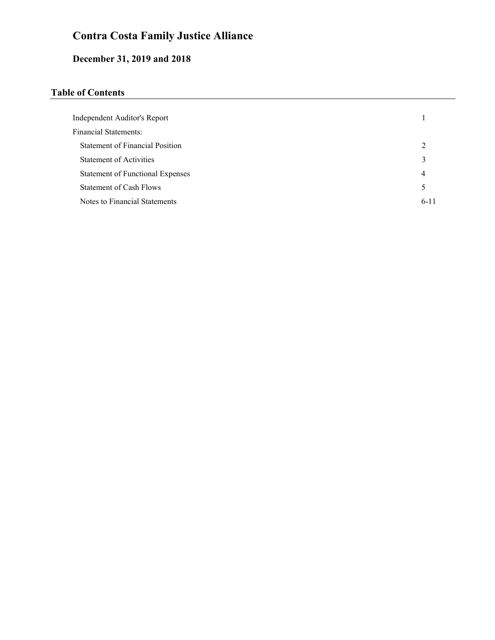# December 31, 2019 and 2018

## Table of Contents

| Independent Auditor's Report            |                             |
|-----------------------------------------|-----------------------------|
| <b>Financial Statements:</b>            |                             |
| <b>Statement of Financial Position</b>  | $\mathcal{D}_{\mathcal{A}}$ |
| <b>Statement of Activities</b>          | 3                           |
| <b>Statement of Functional Expenses</b> | 4                           |
| Statement of Cash Flows                 | 5                           |
| Notes to Financial Statements           | $6 - 11$                    |
|                                         |                             |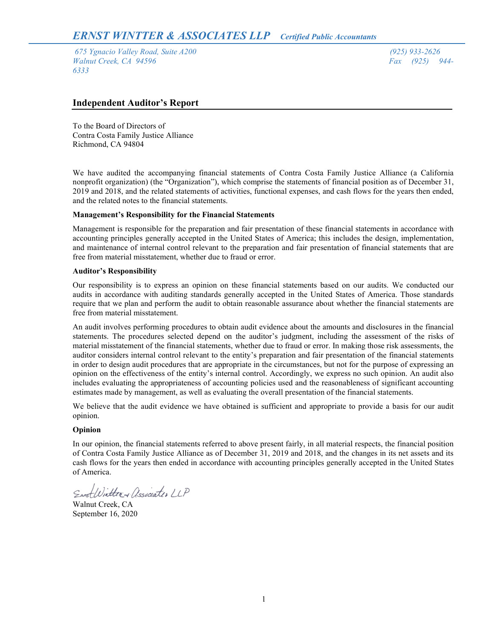675 Ygnacio Valley Road, Suite A200 (925) 933-2626 Walnut Creek, CA 94596 Fax (925) 944-6333

### Independent Auditor's Report

To the Board of Directors of Contra Costa Family Justice Alliance Richmond, CA 94804

We have audited the accompanying financial statements of Contra Costa Family Justice Alliance (a California nonprofit organization) (the "Organization"), which comprise the statements of financial position as of December 31, 2019 and 2018, and the related statements of activities, functional expenses, and cash flows for the years then ended, and the related notes to the financial statements.

### Management's Responsibility for the Financial Statements

Management is responsible for the preparation and fair presentation of these financial statements in accordance with accounting principles generally accepted in the United States of America; this includes the design, implementation, and maintenance of internal control relevant to the preparation and fair presentation of financial statements that are free from material misstatement, whether due to fraud or error.

### Auditor's Responsibility

Our responsibility is to express an opinion on these financial statements based on our audits. We conducted our audits in accordance with auditing standards generally accepted in the United States of America. Those standards require that we plan and perform the audit to obtain reasonable assurance about whether the financial statements are free from material misstatement.

An audit involves performing procedures to obtain audit evidence about the amounts and disclosures in the financial statements. The procedures selected depend on the auditor's judgment, including the assessment of the risks of material misstatement of the financial statements, whether due to fraud or error. In making those risk assessments, the auditor considers internal control relevant to the entity's preparation and fair presentation of the financial statements in order to design audit procedures that are appropriate in the circumstances, but not for the purpose of expressing an opinion on the effectiveness of the entity's internal control. Accordingly, we express no such opinion. An audit also includes evaluating the appropriateness of accounting policies used and the reasonableness of significant accounting estimates made by management, as well as evaluating the overall presentation of the financial statements.

We believe that the audit evidence we have obtained is sufficient and appropriate to provide a basis for our audit opinion.

### Opinion

In our opinion, the financial statements referred to above present fairly, in all material respects, the financial position of Contra Costa Family Justice Alliance as of December 31, 2019 and 2018, and the changes in its net assets and its cash flows for the years then ended in accordance with accounting principles generally accepted in the United States of America.

EnstWitter + Associates LLP

Walnut Creek, CA September 16, 2020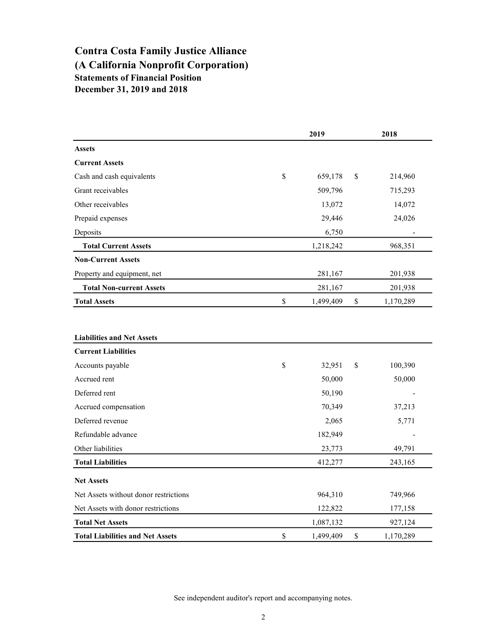## Contra Costa Family Justice Alliance (A California Nonprofit Corporation) Statements of Financial Position December 31, 2019 and 2018

|                                         | 2019            | 2018            |  |
|-----------------------------------------|-----------------|-----------------|--|
| <b>Assets</b>                           |                 |                 |  |
| <b>Current Assets</b>                   |                 |                 |  |
| Cash and cash equivalents               | \$<br>659,178   | \$<br>214,960   |  |
| Grant receivables                       | 509,796         | 715,293         |  |
| Other receivables                       | 13,072          | 14,072          |  |
| Prepaid expenses                        | 29,446          | 24,026          |  |
| Deposits                                | 6,750           |                 |  |
| <b>Total Current Assets</b>             | 1,218,242       | 968,351         |  |
| <b>Non-Current Assets</b>               |                 |                 |  |
| Property and equipment, net             | 281,167         | 201,938         |  |
| <b>Total Non-current Assets</b>         | 281,167         | 201,938         |  |
| <b>Total Assets</b>                     | \$<br>1,499,409 | \$<br>1,170,289 |  |
|                                         |                 |                 |  |
|                                         |                 |                 |  |
| <b>Liabilities and Net Assets</b>       |                 |                 |  |
| <b>Current Liabilities</b>              |                 |                 |  |
| Accounts payable                        | \$<br>32,951    | \$<br>100,390   |  |
| Accrued rent                            | 50,000          | 50,000          |  |
| Deferred rent                           | 50,190          |                 |  |
| Accrued compensation                    | 70,349          | 37,213          |  |
| Deferred revenue                        | 2,065           | 5,771           |  |
| Refundable advance                      | 182,949         |                 |  |
| Other liabilities                       | 23,773          | 49,791          |  |
| <b>Total Liabilities</b>                | 412,277         | 243,165         |  |
| <b>Net Assets</b>                       |                 |                 |  |
| Net Assets without donor restrictions   |                 |                 |  |
|                                         | 964,310         | 749,966         |  |
| Net Assets with donor restrictions      | 122,822         | 177,158         |  |
| <b>Total Net Assets</b>                 | 1,087,132       | 927,124         |  |
| <b>Total Liabilities and Net Assets</b> | \$<br>1,499,409 | \$<br>1,170,289 |  |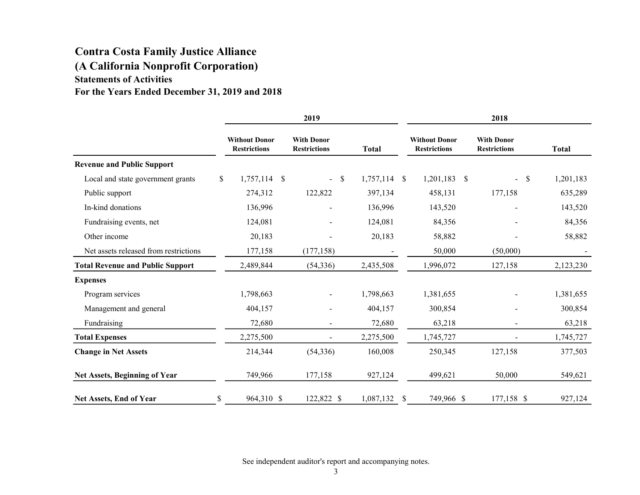## Contra Costa Family Justice Alliance (A California Nonprofit Corporation) Statements of Activities For the Years Ended December 31, 2019 and 2018

|                                         | 2019                                        |  |                                          |               |                | 2018         |                                             |      |                                          |    |              |
|-----------------------------------------|---------------------------------------------|--|------------------------------------------|---------------|----------------|--------------|---------------------------------------------|------|------------------------------------------|----|--------------|
|                                         | <b>Without Donor</b><br><b>Restrictions</b> |  | <b>With Donor</b><br><b>Restrictions</b> |               | <b>Total</b>   |              | <b>Without Donor</b><br><b>Restrictions</b> |      | <b>With Donor</b><br><b>Restrictions</b> |    | <b>Total</b> |
| <b>Revenue and Public Support</b>       |                                             |  |                                          |               |                |              |                                             |      |                                          |    |              |
| Local and state government grants       | \$<br>$1,757,114$ \$                        |  | $\blacksquare$                           | $\mathcal{S}$ | $1,757,114$ \$ |              | 1,201,183                                   | - \$ |                                          | \$ | 1,201,183    |
| Public support                          | 274,312                                     |  | 122,822                                  |               | 397,134        |              | 458,131                                     |      | 177,158                                  |    | 635,289      |
| In-kind donations                       | 136,996                                     |  | $\overline{\phantom{0}}$                 |               | 136,996        |              | 143,520                                     |      |                                          |    | 143,520      |
| Fundraising events, net                 | 124,081                                     |  |                                          |               | 124,081        |              | 84,356                                      |      |                                          |    | 84,356       |
| Other income                            | 20,183                                      |  |                                          |               | 20,183         |              | 58,882                                      |      |                                          |    | 58,882       |
| Net assets released from restrictions   | 177,158                                     |  | (177, 158)                               |               |                |              | 50,000                                      |      | (50,000)                                 |    |              |
| <b>Total Revenue and Public Support</b> | 2,489,844                                   |  | (54, 336)                                |               | 2,435,508      |              | 1,996,072                                   |      | 127,158                                  |    | 2,123,230    |
| <b>Expenses</b>                         |                                             |  |                                          |               |                |              |                                             |      |                                          |    |              |
| Program services                        | 1,798,663                                   |  | Ξ.                                       |               | 1,798,663      |              | 1,381,655                                   |      |                                          |    | 1,381,655    |
| Management and general                  | 404,157                                     |  |                                          |               | 404,157        |              | 300,854                                     |      |                                          |    | 300,854      |
| Fundraising                             | 72,680                                      |  | $\blacksquare$                           |               | 72,680         |              | 63,218                                      |      |                                          |    | 63,218       |
| <b>Total Expenses</b>                   | 2,275,500                                   |  |                                          |               | 2,275,500      |              | 1,745,727                                   |      |                                          |    | 1,745,727    |
| <b>Change in Net Assets</b>             | 214,344                                     |  | (54, 336)                                |               | 160,008        |              | 250,345                                     |      | 127,158                                  |    | 377,503      |
| Net Assets, Beginning of Year           | 749,966                                     |  | 177,158                                  |               | 927,124        |              | 499,621                                     |      | 50,000                                   |    | 549,621      |
| Net Assets, End of Year                 | \$<br>964,310 \$                            |  | 122,822 \$                               |               | 1,087,132      | <sup>S</sup> | 749,966 \$                                  |      | 177,158 \$                               |    | 927,124      |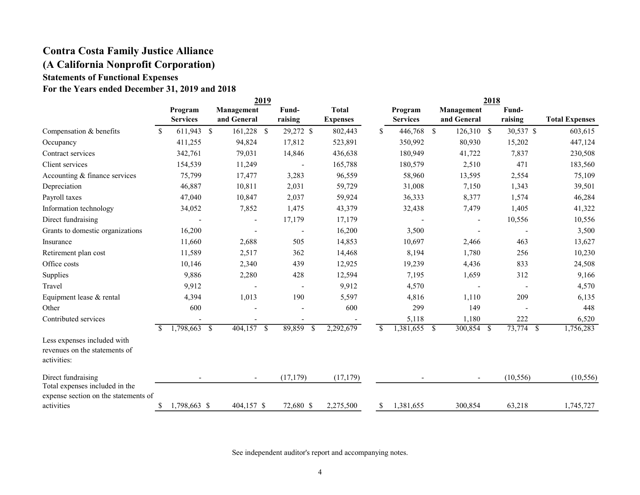## Contra Costa Family Justice Alliance (A California Nonprofit Corporation) Statements of Functional Expenses For the Years ended December 31, 2019 and 2018

|                                                                             |    | 2019                       |  |                           |    |                  |    | 2018                            |    |                            |               |                           |  |                  |                       |
|-----------------------------------------------------------------------------|----|----------------------------|--|---------------------------|----|------------------|----|---------------------------------|----|----------------------------|---------------|---------------------------|--|------------------|-----------------------|
|                                                                             |    | Program<br><b>Services</b> |  | Management<br>and General |    | Fund-<br>raising |    | <b>Total</b><br><b>Expenses</b> |    | Program<br><b>Services</b> |               | Management<br>and General |  | Fund-<br>raising | <b>Total Expenses</b> |
| Compensation & benefits                                                     | \$ | 611,943 \$                 |  | 161,228 \$                |    | 29,272 \$        |    | 802,443                         | S. | 446,768 \$                 |               | 126,310 \$                |  | 30,537 \$        | 603,615               |
| Occupancy                                                                   |    | 411,255                    |  | 94,824                    |    | 17,812           |    | 523,891                         |    | 350,992                    |               | 80,930                    |  | 15,202           | 447,124               |
| Contract services                                                           |    | 342,761                    |  | 79,031                    |    | 14,846           |    | 436,638                         |    | 180,949                    |               | 41,722                    |  | 7,837            | 230,508               |
| Client services                                                             |    | 154,539                    |  | 11,249                    |    |                  |    | 165,788                         |    | 180,579                    |               | 2,510                     |  | 471              | 183,560               |
| Accounting & finance services                                               |    | 75,799                     |  | 17,477                    |    | 3,283            |    | 96,559                          |    | 58,960                     |               | 13,595                    |  | 2,554            | 75,109                |
| Depreciation                                                                |    | 46,887                     |  | 10,811                    |    | 2,031            |    | 59,729                          |    | 31,008                     |               | 7,150                     |  | 1,343            | 39,501                |
| Payroll taxes                                                               |    | 47,040                     |  | 10,847                    |    | 2,037            |    | 59,924                          |    | 36,333                     |               | 8,377                     |  | 1,574            | 46,284                |
| Information technology                                                      |    | 34,052                     |  | 7,852                     |    | 1,475            |    | 43,379                          |    | 32,438                     |               | 7,479                     |  | 1,405            | 41,322                |
| Direct fundraising                                                          |    |                            |  |                           |    | 17,179           |    | 17,179                          |    |                            |               |                           |  | 10,556           | 10,556                |
| Grants to domestic organizations                                            |    | 16,200                     |  |                           |    |                  |    | 16,200                          |    | 3,500                      |               |                           |  |                  | 3,500                 |
| Insurance                                                                   |    | 11,660                     |  | 2,688                     |    | 505              |    | 14,853                          |    | 10,697                     |               | 2,466                     |  | 463              | 13,627                |
| Retirement plan cost                                                        |    | 11,589                     |  | 2,517                     |    | 362              |    | 14,468                          |    | 8,194                      |               | 1,780                     |  | 256              | 10,230                |
| Office costs                                                                |    | 10,146                     |  | 2,340                     |    | 439              |    | 12,925                          |    | 19,239                     |               | 4,436                     |  | 833              | 24,508                |
| Supplies                                                                    |    | 9,886                      |  | 2,280                     |    | 428              |    | 12,594                          |    | 7,195                      |               | 1,659                     |  | 312              | 9,166                 |
| Travel                                                                      |    | 9,912                      |  |                           |    |                  |    | 9,912                           |    | 4,570                      |               |                           |  |                  | 4,570                 |
| Equipment lease & rental                                                    |    | 4,394                      |  | 1,013                     |    | 190              |    | 5,597                           |    | 4,816                      |               | 1,110                     |  | 209              | 6,135                 |
| Other                                                                       |    | 600                        |  |                           |    |                  |    | 600                             |    | 299                        |               | 149                       |  |                  | 448                   |
| Contributed services                                                        |    |                            |  |                           |    |                  |    |                                 |    | 5,118                      |               | 1,180                     |  | 222              | 6,520                 |
|                                                                             | S. | $1,798,663$ \$             |  | 404,157                   | -S | 89,859           | -S | 2,292,679                       | -S | 1,381,655                  | <sup>\$</sup> | $300,854$ \$              |  | $73,774$ \$      | 1,756,283             |
| Less expenses included with<br>revenues on the statements of<br>activities: |    |                            |  |                           |    |                  |    |                                 |    |                            |               |                           |  |                  |                       |
| Direct fundraising<br>Total expenses included in the                        |    |                            |  |                           |    | (17, 179)        |    | (17, 179)                       |    |                            |               |                           |  | (10, 556)        | (10, 556)             |
| expense section on the statements of<br>activities                          | \$ | 1,798,663 \$               |  | 404,157 \$                |    | 72,680 \$        |    | 2,275,500                       | \$ | 1,381,655                  |               | 300,854                   |  | 63,218           | 1,745,727             |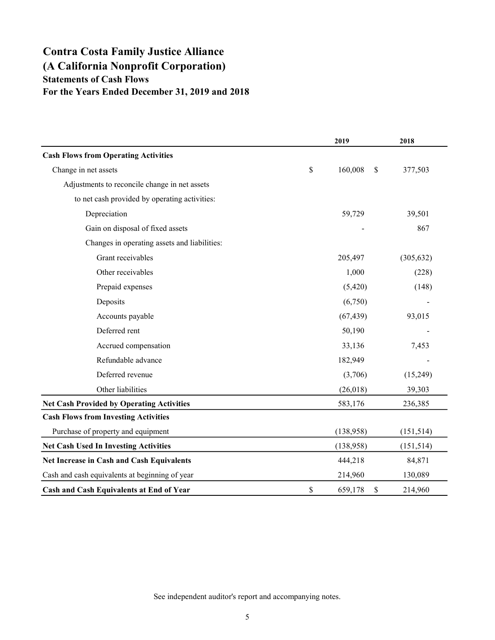## Contra Costa Family Justice Alliance (A California Nonprofit Corporation) Statements of Cash Flows For the Years Ended December 31, 2019 and 2018

|                                                  |             | 2019          | 2018       |
|--------------------------------------------------|-------------|---------------|------------|
| <b>Cash Flows from Operating Activities</b>      |             |               |            |
| Change in net assets                             | $\mathbb S$ | 160,008<br>\$ | 377,503    |
| Adjustments to reconcile change in net assets    |             |               |            |
| to net cash provided by operating activities:    |             |               |            |
| Depreciation                                     |             | 59,729        | 39,501     |
| Gain on disposal of fixed assets                 |             |               | 867        |
| Changes in operating assets and liabilities:     |             |               |            |
| Grant receivables                                |             | 205,497       | (305, 632) |
| Other receivables                                |             | 1,000         | (228)      |
| Prepaid expenses                                 |             | (5,420)       | (148)      |
| Deposits                                         |             | (6,750)       |            |
| Accounts payable                                 |             | (67, 439)     | 93,015     |
| Deferred rent                                    |             | 50,190        |            |
| Accrued compensation                             |             | 33,136        | 7,453      |
| Refundable advance                               |             | 182,949       |            |
| Deferred revenue                                 |             | (3,706)       | (15,249)   |
| Other liabilities                                |             | (26,018)      | 39,303     |
| <b>Net Cash Provided by Operating Activities</b> |             | 583,176       | 236,385    |
| <b>Cash Flows from Investing Activities</b>      |             |               |            |
| Purchase of property and equipment               |             | (138,958)     | (151, 514) |
| <b>Net Cash Used In Investing Activities</b>     |             | (138,958)     | (151, 514) |
| Net Increase in Cash and Cash Equivalents        |             | 444,218       | 84,871     |
| Cash and cash equivalents at beginning of year   |             | 214,960       | 130,089    |
| Cash and Cash Equivalents at End of Year         | \$          | 659,178<br>\$ | 214,960    |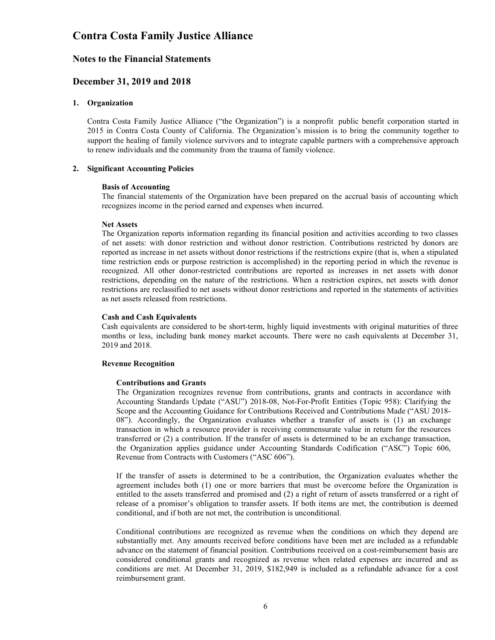### Notes to the Financial Statements

### December 31, 2019 and 2018

### 1. Organization

Contra Costa Family Justice Alliance ("the Organization") is a nonprofit public benefit corporation started in 2015 in Contra Costa County of California. The Organization's mission is to bring the community together to support the healing of family violence survivors and to integrate capable partners with a comprehensive approach to renew individuals and the community from the trauma of family violence.

#### 2. Significant Accounting Policies

#### Basis of Accounting

The financial statements of the Organization have been prepared on the accrual basis of accounting which recognizes income in the period earned and expenses when incurred.

#### Net Assets

The Organization reports information regarding its financial position and activities according to two classes of net assets: with donor restriction and without donor restriction. Contributions restricted by donors are reported as increase in net assets without donor restrictions if the restrictions expire (that is, when a stipulated time restriction ends or purpose restriction is accomplished) in the reporting period in which the revenue is recognized. All other donor-restricted contributions are reported as increases in net assets with donor restrictions, depending on the nature of the restrictions. When a restriction expires, net assets with donor restrictions are reclassified to net assets without donor restrictions and reported in the statements of activities as net assets released from restrictions.

#### Cash and Cash Equivalents

Cash equivalents are considered to be short-term, highly liquid investments with original maturities of three months or less, including bank money market accounts. There were no cash equivalents at December 31, 2019 and 2018.

#### Revenue Recognition

### Contributions and Grants

The Organization recognizes revenue from contributions, grants and contracts in accordance with Accounting Standards Update ("ASU") 2018-08, Not-For-Profit Entities (Topic 958): Clarifying the Scope and the Accounting Guidance for Contributions Received and Contributions Made ("ASU 2018- 08"). Accordingly, the Organization evaluates whether a transfer of assets is (1) an exchange transaction in which a resource provider is receiving commensurate value in return for the resources transferred or (2) a contribution. If the transfer of assets is determined to be an exchange transaction, the Organization applies guidance under Accounting Standards Codification ("ASC") Topic 606, Revenue from Contracts with Customers ("ASC 606").

If the transfer of assets is determined to be a contribution, the Organization evaluates whether the agreement includes both (1) one or more barriers that must be overcome before the Organization is entitled to the assets transferred and promised and (2) a right of return of assets transferred or a right of release of a promisor's obligation to transfer assets. If both items are met, the contribution is deemed conditional, and if both are not met, the contribution is unconditional.

Conditional contributions are recognized as revenue when the conditions on which they depend are substantially met. Any amounts received before conditions have been met are included as a refundable advance on the statement of financial position. Contributions received on a cost-reimbursement basis are considered conditional grants and recognized as revenue when related expenses are incurred and as conditions are met. At December 31, 2019, \$182,949 is included as a refundable advance for a cost reimbursement grant.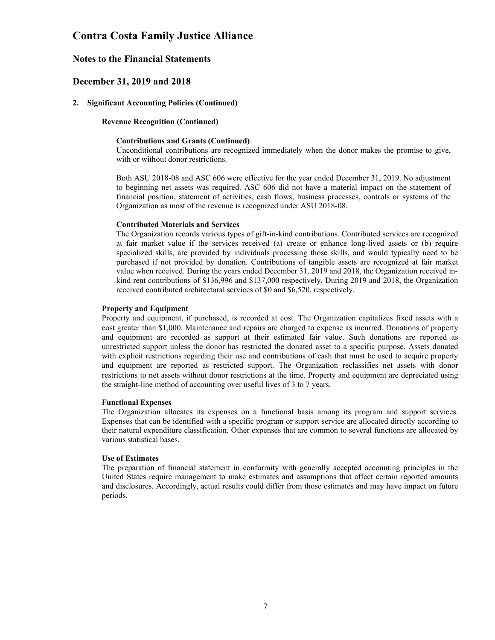### Notes to the Financial Statements

### December 31, 2019 and 2018

### 2. Significant Accounting Policies (Continued)

### Revenue Recognition (Continued)

#### Contributions and Grants (Continued)

Unconditional contributions are recognized immediately when the donor makes the promise to give, with or without donor restrictions.

Both ASU 2018-08 and ASC 606 were effective for the year ended December 31, 2019. No adjustment to beginning net assets was required. ASC 606 did not have a material impact on the statement of financial position, statement of activities, cash flows, business processes, controls or systems of the Organization as most of the revenue is recognized under ASU 2018-08.

### Contributed Materials and Services

The Organization records various types of gift-in-kind contributions. Contributed services are recognized at fair market value if the services received (a) create or enhance long-lived assets or (b) require specialized skills, are provided by individuals processing those skills, and would typically need to be purchased if not provided by donation. Contributions of tangible assets are recognized at fair market value when received. During the years ended December 31, 2019 and 2018, the Organization received inkind rent contributions of \$136,996 and \$137,000 respectively. During 2019 and 2018, the Organization received contributed architectural services of \$0 and \$6,520, respectively.

#### Property and Equipment

Property and equipment, if purchased, is recorded at cost. The Organization capitalizes fixed assets with a cost greater than \$1,000. Maintenance and repairs are charged to expense as incurred. Donations of property and equipment are recorded as support at their estimated fair value. Such donations are reported as unrestricted support unless the donor has restricted the donated asset to a specific purpose. Assets donated with explicit restrictions regarding their use and contributions of cash that must be used to acquire property and equipment are reported as restricted support. The Organization reclassifies net assets with donor restrictions to net assets without donor restrictions at the time. Property and equipment are depreciated using the straight-line method of accounting over useful lives of 3 to 7 years.

#### Functional Expenses

The Organization allocates its expenses on a functional basis among its program and support services. Expenses that can be identified with a specific program or support service are allocated directly according to their natural expenditure classification. Other expenses that are common to several functions are allocated by various statistical bases.

### Use of Estimates

The preparation of financial statement in conformity with generally accepted accounting principles in the United States require management to make estimates and assumptions that affect certain reported amounts and disclosures. Accordingly, actual results could differ from those estimates and may have impact on future periods.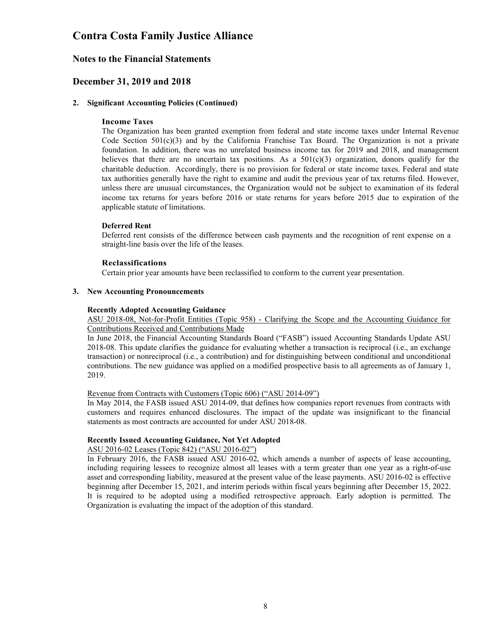### Notes to the Financial Statements

### December 31, 2019 and 2018

### 2. Significant Accounting Policies (Continued)

### Income Taxes

The Organization has been granted exemption from federal and state income taxes under Internal Revenue Code Section  $501(c)(3)$  and by the California Franchise Tax Board. The Organization is not a private foundation. In addition, there was no unrelated business income tax for 2019 and 2018, and management believes that there are no uncertain tax positions. As a  $501(c)(3)$  organization, donors qualify for the charitable deduction. Accordingly, there is no provision for federal or state income taxes. Federal and state tax authorities generally have the right to examine and audit the previous year of tax returns filed. However, unless there are unusual circumstances, the Organization would not be subject to examination of its federal income tax returns for years before 2016 or state returns for years before 2015 due to expiration of the applicable statute of limitations.

### Deferred Rent

Deferred rent consists of the difference between cash payments and the recognition of rent expense on a straight-line basis over the life of the leases.

### Reclassifications

Certain prior year amounts have been reclassified to conform to the current year presentation.

### 3. New Accounting Pronouncements

### Recently Adopted Accounting Guidance

ASU 2018-08, Not-for-Profit Entities (Topic 958) - Clarifying the Scope and the Accounting Guidance for Contributions Received and Contributions Made

In June 2018, the Financial Accounting Standards Board ("FASB") issued Accounting Standards Update ASU 2018-08. This update clarifies the guidance for evaluating whether a transaction is reciprocal (i.e., an exchange transaction) or nonreciprocal (i.e., a contribution) and for distinguishing between conditional and unconditional contributions. The new guidance was applied on a modified prospective basis to all agreements as of January 1, 2019.

### Revenue from Contracts with Customers (Topic 606) ("ASU 2014-09")

In May 2014, the FASB issued ASU 2014-09, that defines how companies report revenues from contracts with customers and requires enhanced disclosures. The impact of the update was insignificant to the financial statements as most contracts are accounted for under ASU 2018-08.

### Recently Issued Accounting Guidance, Not Yet Adopted

### ASU 2016-02 Leases (Topic 842) ("ASU 2016-02")

In February 2016, the FASB issued ASU 2016-02, which amends a number of aspects of lease accounting, including requiring lessees to recognize almost all leases with a term greater than one year as a right-of-use asset and corresponding liability, measured at the present value of the lease payments. ASU 2016-02 is effective beginning after December 15, 2021, and interim periods within fiscal years beginning after December 15, 2022. It is required to be adopted using a modified retrospective approach. Early adoption is permitted. The Organization is evaluating the impact of the adoption of this standard.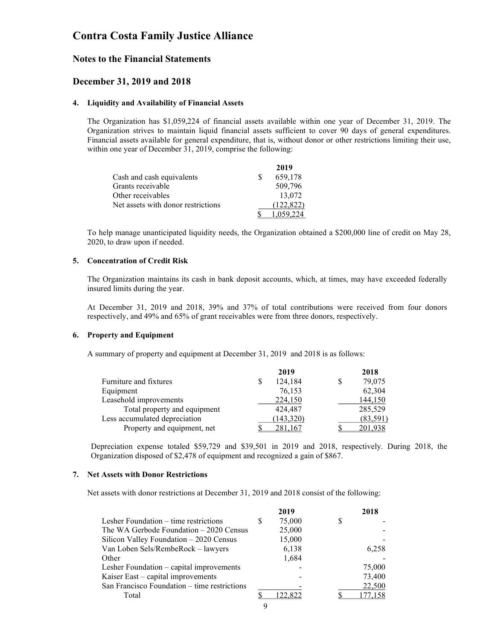### Notes to the Financial Statements

### December 31, 2019 and 2018

### 4. Liquidity and Availability of Financial Assets

The Organization has \$1,059,224 of financial assets available within one year of December 31, 2019. The Organization strives to maintain liquid financial assets sufficient to cover 90 days of general expenditures. Financial assets available for general expenditure, that is, without donor or other restrictions limiting their use, within one year of December 31, 2019, comprise the following:

|                                    | 2019      |
|------------------------------------|-----------|
| Cash and cash equivalents          | 659.178   |
| Grants receivable                  | 509,796   |
| Other receivables                  | 13,072    |
| Net assets with donor restrictions | (122.822) |
|                                    |           |

To help manage unanticipated liquidity needs, the Organization obtained a \$200,000 line of credit on May 28, 2020, to draw upon if needed.

### 5. Concentration of Credit Risk

The Organization maintains its cash in bank deposit accounts, which, at times, may have exceeded federally insured limits during the year.

At December 31, 2019 and 2018, 39% and 37% of total contributions were received from four donors respectively, and 49% and 65% of grant receivables were from three donors, respectively.

### 6. Property and Equipment

A summary of property and equipment at December 31, 2019 and 2018 is as follows:

|                               | 2019         | 2018      |
|-------------------------------|--------------|-----------|
| Furniture and fixtures        | 124,184<br>S | 79,075    |
| Equipment                     | 76,153       | 62,304    |
| Leasehold improvements        | 224,150      | 144,150   |
| Total property and equipment  | 424,487      | 285,529   |
| Less accumulated depreciation | (143,320)    | (83, 591) |
| Property and equipment, net   | 281,167      | 201,938   |

Depreciation expense totaled \$59,729 and \$39,501 in 2019 and 2018, respectively. During 2018, the Organization disposed of \$2,478 of equipment and recognized a gain of \$867.

### 7. Net Assets with Donor Restrictions

Net assets with donor restrictions at December 31, 2019 and 2018 consist of the following:

|                                              |   | 2019    |   | 2018    |
|----------------------------------------------|---|---------|---|---------|
| Lesher Foundation – time restrictions        | S | 75,000  | S |         |
| The WA Gerbode Foundation – 2020 Census      |   | 25,000  |   |         |
| Silicon Valley Foundation - 2020 Census      |   | 15,000  |   |         |
| Van Loben Sels/RembeRock - lawyers           |   | 6,138   |   | 6,258   |
| Other                                        |   | 1,684   |   |         |
| Lesher Foundation – capital improvements     |   |         |   | 75,000  |
| Kaiser East – capital improvements           |   |         |   | 73,400  |
| San Francisco Foundation - time restrictions |   |         |   | 22,500  |
| Total                                        |   | 122.822 |   | 177,158 |
|                                              |   |         |   |         |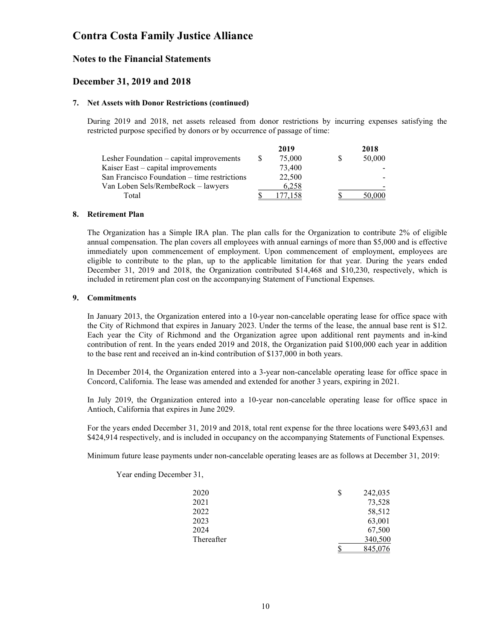### Notes to the Financial Statements

### December 31, 2019 and 2018

### 7. Net Assets with Donor Restrictions (continued)

During 2019 and 2018, net assets released from donor restrictions by incurring expenses satisfying the restricted purpose specified by donors or by occurrence of passage of time:

|       |                                              | 2019   |  | 2018   |
|-------|----------------------------------------------|--------|--|--------|
|       | Lesher Foundation – capital improvements     | 75,000 |  | 50,000 |
|       | Kaiser East – capital improvements           | 73,400 |  |        |
|       | San Francisco Foundation – time restrictions | 22,500 |  |        |
|       | Van Loben Sels/RembeRock – lawyers           | 6,258  |  |        |
| Total |                                              | 77 158 |  | 50.000 |

### 8. Retirement Plan

The Organization has a Simple IRA plan. The plan calls for the Organization to contribute 2% of eligible annual compensation. The plan covers all employees with annual earnings of more than \$5,000 and is effective immediately upon commencement of employment. Upon commencement of employment, employees are eligible to contribute to the plan, up to the applicable limitation for that year. During the years ended December 31, 2019 and 2018, the Organization contributed \$14,468 and \$10,230, respectively, which is included in retirement plan cost on the accompanying Statement of Functional Expenses.

### 9. Commitments

In January 2013, the Organization entered into a 10-year non-cancelable operating lease for office space with the City of Richmond that expires in January 2023. Under the terms of the lease, the annual base rent is \$12. Each year the City of Richmond and the Organization agree upon additional rent payments and in-kind contribution of rent. In the years ended 2019 and 2018, the Organization paid \$100,000 each year in addition to the base rent and received an in-kind contribution of \$137,000 in both years.

In December 2014, the Organization entered into a 3-year non-cancelable operating lease for office space in Concord, California. The lease was amended and extended for another 3 years, expiring in 2021.

In July 2019, the Organization entered into a 10-year non-cancelable operating lease for office space in Antioch, California that expires in June 2029.

For the years ended December 31, 2019 and 2018, total rent expense for the three locations were \$493,631 and \$424,914 respectively, and is included in occupancy on the accompanying Statements of Functional Expenses.

Minimum future lease payments under non-cancelable operating leases are as follows at December 31, 2019:

| 2020       | \$<br>242,035 |
|------------|---------------|
| 2021       | 73,528        |
| 2022       | 58,512        |
| 2023       | 63,001        |
| 2024       | 67,500        |
| Thereafter | 340,500       |
|            | \$<br>845,076 |

Year ending December 31,